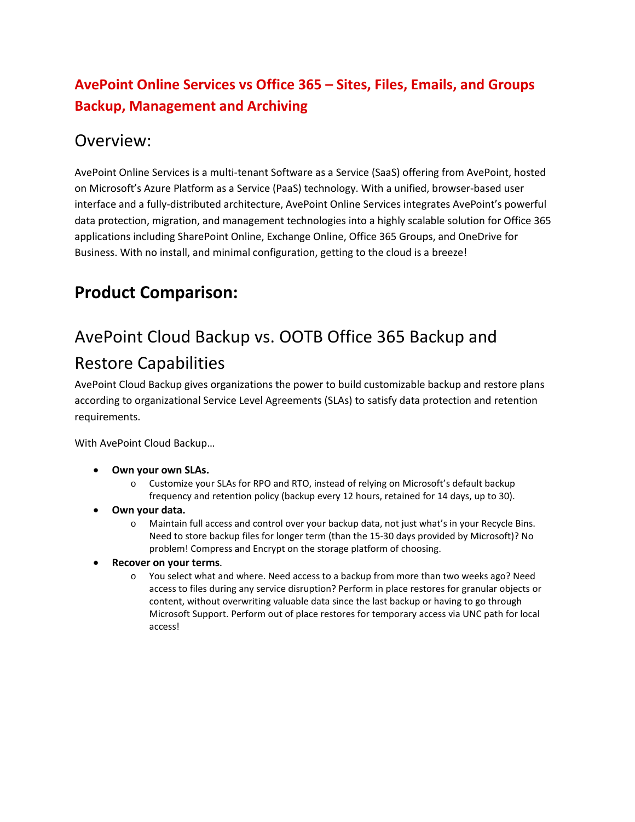#### **AvePoint Online Services vs Office 365 – Sites, Files, Emails, and Groups Backup, Management and Archiving**

#### Overview:

AvePoint Online Services is a multi-tenant Software as a Service (SaaS) offering from AvePoint, hosted on Microsoft's Azure Platform as a Service (PaaS) technology. With a unified, browser-based user interface and a fully-distributed architecture, AvePoint Online Services integrates AvePoint's powerful data protection, migration, and management technologies into a highly scalable solution for Office 365 applications including SharePoint Online, Exchange Online, Office 365 Groups, and OneDrive for Business. With no install, and minimal configuration, getting to the cloud is a breeze!

#### **Product Comparison:**

### AvePoint Cloud Backup vs. OOTB Office 365 Backup and Restore Capabilities

AvePoint Cloud Backup gives organizations the power to build customizable backup and restore plans according to organizational Service Level Agreements (SLAs) to satisfy data protection and retention requirements.

With AvePoint Cloud Backup…

- **Own your own SLAs.**
	- o Customize your SLAs for RPO and RTO, instead of relying on Microsoft's default backup frequency and retention policy (backup every 12 hours, retained for 14 days, up to 30).
- **Own your data.**
	- o Maintain full access and control over your backup data, not just what's in your Recycle Bins. Need to store backup files for longer term (than the 15-30 days provided by Microsoft)? No problem! Compress and Encrypt on the storage platform of choosing.
- **Recover on your terms**.
	- o You select what and where. Need access to a backup from more than two weeks ago? Need access to files during any service disruption? Perform in place restores for granular objects or content, without overwriting valuable data since the last backup or having to go through Microsoft Support. Perform out of place restores for temporary access via UNC path for local access!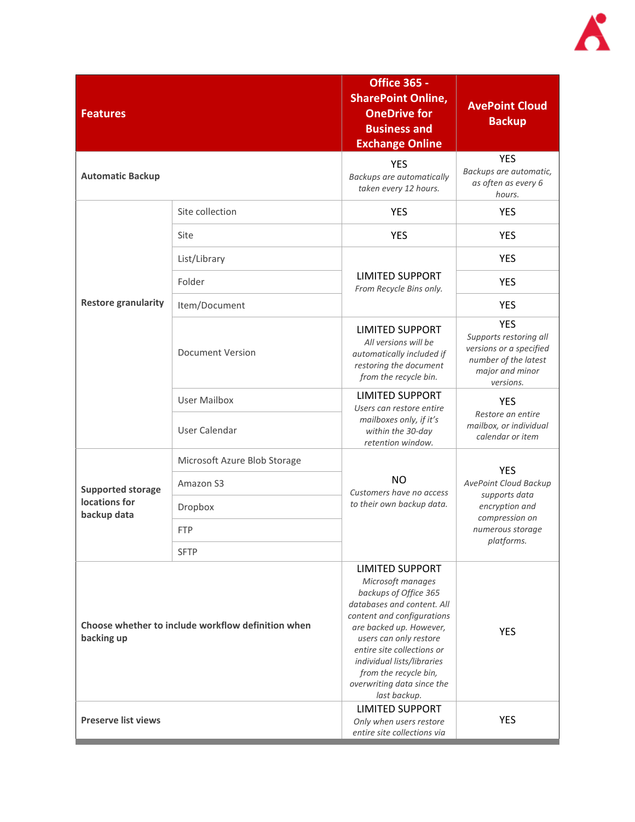

| <b>Features</b>                                                  |                              | <b>Office 365 -</b><br><b>SharePoint Online,</b><br><b>OneDrive for</b><br><b>Business and</b><br><b>Exchange Online</b>                                                                                                                                                                                                 | <b>AvePoint Cloud</b><br><b>Backup</b>                                                                                     |
|------------------------------------------------------------------|------------------------------|--------------------------------------------------------------------------------------------------------------------------------------------------------------------------------------------------------------------------------------------------------------------------------------------------------------------------|----------------------------------------------------------------------------------------------------------------------------|
| <b>Automatic Backup</b>                                          |                              | <b>YES</b><br>Backups are automatically<br>taken every 12 hours.                                                                                                                                                                                                                                                         | <b>YES</b><br>Backups are automatic,<br>as often as every 6<br>hours.                                                      |
|                                                                  | Site collection              | <b>YES</b>                                                                                                                                                                                                                                                                                                               | <b>YES</b>                                                                                                                 |
|                                                                  | Site                         | <b>YES</b>                                                                                                                                                                                                                                                                                                               | <b>YES</b>                                                                                                                 |
|                                                                  | List/Library                 |                                                                                                                                                                                                                                                                                                                          | <b>YES</b>                                                                                                                 |
|                                                                  | Folder                       | <b>LIMITED SUPPORT</b><br>From Recycle Bins only.                                                                                                                                                                                                                                                                        | <b>YES</b>                                                                                                                 |
| <b>Restore granularity</b>                                       | Item/Document                |                                                                                                                                                                                                                                                                                                                          | <b>YES</b>                                                                                                                 |
|                                                                  | <b>Document Version</b>      | <b>LIMITED SUPPORT</b><br>All versions will be<br>automatically included if<br>restoring the document<br>from the recycle bin.                                                                                                                                                                                           | <b>YES</b><br>Supports restoring all<br>versions or a specified<br>number of the latest<br>major and minor<br>versions.    |
|                                                                  | <b>User Mailbox</b>          | <b>LIMITED SUPPORT</b><br>Users can restore entire                                                                                                                                                                                                                                                                       | <b>YES</b>                                                                                                                 |
|                                                                  | User Calendar                | mailboxes only, if it's<br>within the 30-day<br>retention window.                                                                                                                                                                                                                                                        | Restore an entire<br>mailbox, or individual<br>calendar or item                                                            |
|                                                                  | Microsoft Azure Blob Storage |                                                                                                                                                                                                                                                                                                                          | <b>YES</b><br>AvePoint Cloud Backup<br>supports data<br>encryption and<br>compression on<br>numerous storage<br>platforms. |
| <b>Supported storage</b>                                         | Amazon S3                    | <b>NO</b><br>Customers have no access                                                                                                                                                                                                                                                                                    |                                                                                                                            |
| locations for<br>backup data                                     | Dropbox                      | to their own backup data.                                                                                                                                                                                                                                                                                                |                                                                                                                            |
|                                                                  | <b>FTP</b>                   |                                                                                                                                                                                                                                                                                                                          |                                                                                                                            |
|                                                                  | <b>SFTP</b>                  |                                                                                                                                                                                                                                                                                                                          |                                                                                                                            |
| Choose whether to include workflow definition when<br>backing up |                              | <b>LIMITED SUPPORT</b><br>Microsoft manages<br>backups of Office 365<br>databases and content. All<br>content and configurations<br>are backed up. However,<br>users can only restore<br>entire site collections or<br>individual lists/libraries<br>from the recycle bin,<br>overwriting data since the<br>last backup. | <b>YES</b>                                                                                                                 |
| <b>Preserve list views</b>                                       |                              | <b>LIMITED SUPPORT</b><br>Only when users restore<br>entire site collections via                                                                                                                                                                                                                                         | <b>YES</b>                                                                                                                 |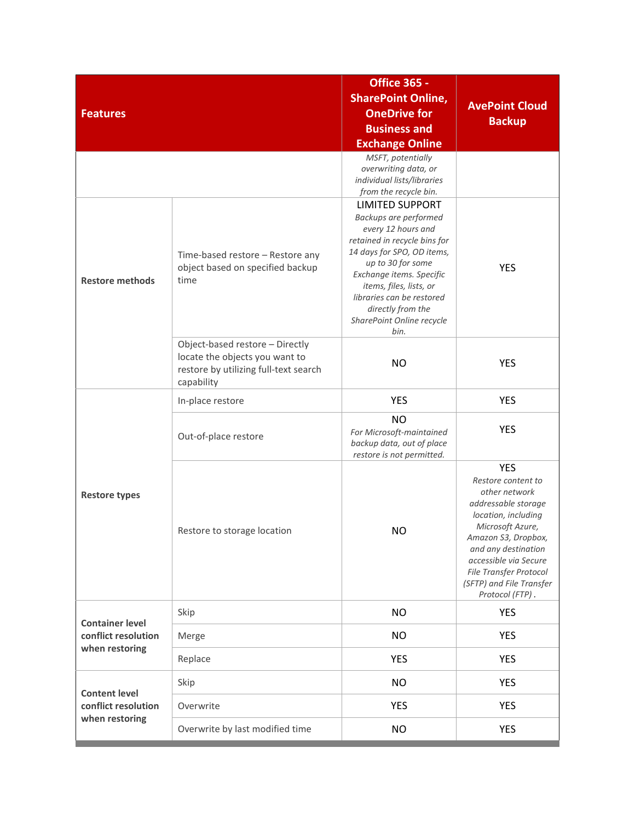| <b>Features</b>                                                 |                                                                                                                          | <b>Office 365 -</b><br><b>SharePoint Online,</b><br><b>OneDrive for</b><br><b>Business and</b><br><b>Exchange Online</b><br>MSFT, potentially<br>overwriting data, or<br>individual lists/libraries<br>from the recycle bin.                                                                           | <b>AvePoint Cloud</b><br><b>Backup</b>                                                                                                                                                                                                                              |
|-----------------------------------------------------------------|--------------------------------------------------------------------------------------------------------------------------|--------------------------------------------------------------------------------------------------------------------------------------------------------------------------------------------------------------------------------------------------------------------------------------------------------|---------------------------------------------------------------------------------------------------------------------------------------------------------------------------------------------------------------------------------------------------------------------|
| <b>Restore methods</b>                                          | Time-based restore - Restore any<br>object based on specified backup<br>time                                             | <b>LIMITED SUPPORT</b><br>Backups are performed<br>every 12 hours and<br>retained in recycle bins for<br>14 days for SPO, OD items,<br>up to 30 for some<br>Exchange items. Specific<br>items, files, lists, or<br>libraries can be restored<br>directly from the<br>SharePoint Online recycle<br>bin. | <b>YES</b>                                                                                                                                                                                                                                                          |
|                                                                 | Object-based restore - Directly<br>locate the objects you want to<br>restore by utilizing full-text search<br>capability | <b>NO</b>                                                                                                                                                                                                                                                                                              | <b>YES</b>                                                                                                                                                                                                                                                          |
|                                                                 | In-place restore                                                                                                         | <b>YES</b>                                                                                                                                                                                                                                                                                             | <b>YES</b>                                                                                                                                                                                                                                                          |
|                                                                 | Out-of-place restore                                                                                                     | <b>NO</b><br>For Microsoft-maintained<br>backup data, out of place<br>restore is not permitted.                                                                                                                                                                                                        | <b>YES</b>                                                                                                                                                                                                                                                          |
| <b>Restore types</b>                                            | Restore to storage location                                                                                              | <b>NO</b>                                                                                                                                                                                                                                                                                              | <b>YES</b><br>Restore content to<br>other network<br>addressable storage<br>location, including<br>Microsoft Azure,<br>Amazon S3, Dropbox,<br>and any destination<br>accessible via Secure<br>File Transfer Protocol<br>(SFTP) and File Transfer<br>Protocol (FTP). |
|                                                                 | Skip                                                                                                                     | <b>NO</b>                                                                                                                                                                                                                                                                                              | <b>YES</b>                                                                                                                                                                                                                                                          |
| <b>Container level</b><br>conflict resolution<br>when restoring | Merge                                                                                                                    | <b>NO</b>                                                                                                                                                                                                                                                                                              | YES                                                                                                                                                                                                                                                                 |
|                                                                 | Replace                                                                                                                  | <b>YES</b>                                                                                                                                                                                                                                                                                             | <b>YES</b>                                                                                                                                                                                                                                                          |
| <b>Content level</b>                                            | Skip                                                                                                                     | <b>NO</b>                                                                                                                                                                                                                                                                                              | <b>YES</b>                                                                                                                                                                                                                                                          |
| conflict resolution                                             | Overwrite                                                                                                                | <b>YES</b>                                                                                                                                                                                                                                                                                             | <b>YES</b>                                                                                                                                                                                                                                                          |
| when restoring                                                  | Overwrite by last modified time                                                                                          | <b>NO</b>                                                                                                                                                                                                                                                                                              | <b>YES</b>                                                                                                                                                                                                                                                          |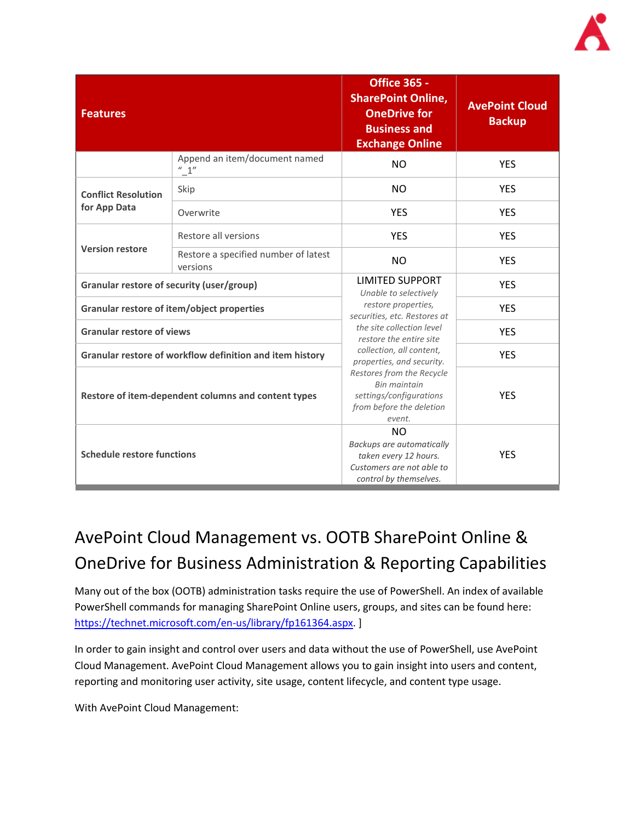| <b>Features</b>                                          |                                                  | <b>Office 365 -</b><br><b>SharePoint Online,</b><br><b>OneDrive for</b><br><b>Business and</b><br><b>Exchange Online</b>                                                                                                                                                                                                                     | <b>AvePoint Cloud</b><br><b>Backup</b> |
|----------------------------------------------------------|--------------------------------------------------|----------------------------------------------------------------------------------------------------------------------------------------------------------------------------------------------------------------------------------------------------------------------------------------------------------------------------------------------|----------------------------------------|
|                                                          | Append an item/document named<br>" 1"            | <b>NO</b>                                                                                                                                                                                                                                                                                                                                    | <b>YES</b>                             |
| <b>Conflict Resolution</b>                               | Skip                                             | <b>NO</b>                                                                                                                                                                                                                                                                                                                                    | <b>YES</b>                             |
| for App Data                                             | Overwrite                                        | <b>YES</b>                                                                                                                                                                                                                                                                                                                                   | <b>YES</b>                             |
|                                                          | Restore all versions                             | <b>YES</b>                                                                                                                                                                                                                                                                                                                                   | <b>YES</b>                             |
| <b>Version restore</b>                                   | Restore a specified number of latest<br>versions | <b>NO</b>                                                                                                                                                                                                                                                                                                                                    | <b>YES</b>                             |
| Granular restore of security (user/group)                |                                                  | <b>LIMITED SUPPORT</b><br>Unable to selectively<br>restore properties,<br>securities, etc. Restores at<br>the site collection level<br>restore the entire site<br>collection, all content,<br>properties, and security.<br>Restores from the Recycle<br><b>Bin maintain</b><br>settings/configurations<br>from before the deletion<br>event. | <b>YES</b>                             |
| Granular restore of item/object properties               |                                                  |                                                                                                                                                                                                                                                                                                                                              | <b>YES</b>                             |
| <b>Granular restore of views</b>                         |                                                  |                                                                                                                                                                                                                                                                                                                                              | <b>YES</b>                             |
| Granular restore of workflow definition and item history |                                                  |                                                                                                                                                                                                                                                                                                                                              | <b>YES</b>                             |
| Restore of item-dependent columns and content types      |                                                  |                                                                                                                                                                                                                                                                                                                                              | <b>YES</b>                             |
| <b>Schedule restore functions</b>                        |                                                  | <b>NO</b><br>Backups are automatically<br>taken every 12 hours.<br>Customers are not able to<br>control by themselves.                                                                                                                                                                                                                       | <b>YES</b>                             |

# AvePoint Cloud Management vs. OOTB SharePoint Online & OneDrive for Business Administration & Reporting Capabilities

Many out of the box (OOTB) administration tasks require the use of PowerShell. An index of available PowerShell commands for managing SharePoint Online users, groups, and sites can be found here: [https://technet.microsoft.com/en-us/library/fp161364.aspx.](https://technet.microsoft.com/en-us/library/fp161364.aspx) ]

In order to gain insight and control over users and data without the use of PowerShell, use AvePoint Cloud Management. AvePoint Cloud Management allows you to gain insight into users and content, reporting and monitoring user activity, site usage, content lifecycle, and content type usage.

With AvePoint Cloud Management: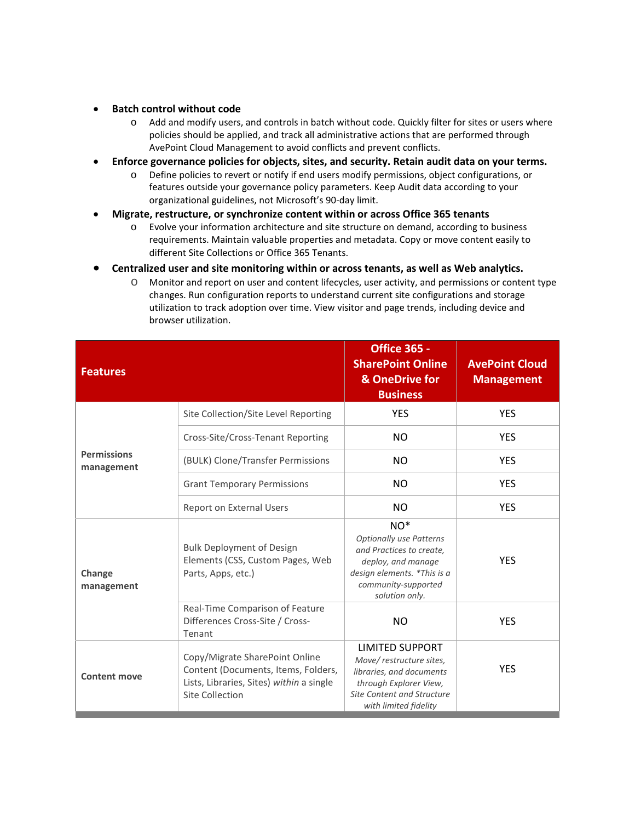- **Batch control without code**
	- o Add and modify users, and controls in batch without code. Quickly filter for sites or users where policies should be applied, and track all administrative actions that are performed through AvePoint Cloud Management to avoid conflicts and prevent conflicts.
- **Enforce governance policies for objects, sites, and security. Retain audit data on your terms.** 
	- o Define policies to revert or notify if end users modify permissions, object configurations, or features outside your governance policy parameters. Keep Audit data according to your organizational guidelines, not Microsoft's 90-day limit.
- **Migrate, restructure, or synchronize content within or across Office 365 tenants**
	- o Evolve your information architecture and site structure on demand, according to business requirements. Maintain valuable properties and metadata. Copy or move content easily to different Site Collections or Office 365 Tenants.
- **Centralized user and site monitoring within or across tenants, as well as Web analytics.**
	- o Monitor and report on user and content lifecycles, user activity, and permissions or content type changes. Run configuration reports to understand current site configurations and storage utilization to track adoption over time. View visitor and page trends, including device and browser utilization.

| <b>Features</b>                  |                                                                                                                                      | <b>Office 365 -</b><br><b>SharePoint Online</b><br>& OneDrive for<br><b>Business</b>                                                                              | <b>AvePoint Cloud</b><br><b>Management</b> |
|----------------------------------|--------------------------------------------------------------------------------------------------------------------------------------|-------------------------------------------------------------------------------------------------------------------------------------------------------------------|--------------------------------------------|
|                                  | Site Collection/Site Level Reporting                                                                                                 | <b>YES</b>                                                                                                                                                        | <b>YES</b>                                 |
|                                  | Cross-Site/Cross-Tenant Reporting                                                                                                    | <b>NO</b>                                                                                                                                                         | <b>YES</b>                                 |
| <b>Permissions</b><br>management | (BULK) Clone/Transfer Permissions                                                                                                    | <b>NO</b>                                                                                                                                                         | <b>YES</b>                                 |
|                                  | <b>Grant Temporary Permissions</b>                                                                                                   | <b>NO</b>                                                                                                                                                         | <b>YES</b>                                 |
|                                  | Report on External Users                                                                                                             | <b>NO</b>                                                                                                                                                         | <b>YES</b>                                 |
| Change<br>management             | <b>Bulk Deployment of Design</b><br>Elements (CSS, Custom Pages, Web<br>Parts, Apps, etc.)                                           | $NO*$<br><b>Optionally use Patterns</b><br>and Practices to create,<br>deploy, and manage<br>design elements. *This is a<br>community-supported<br>solution only. | <b>YES</b>                                 |
|                                  | Real-Time Comparison of Feature<br>Differences Cross-Site / Cross-<br>Tenant                                                         | <b>NO</b>                                                                                                                                                         | <b>YES</b>                                 |
| <b>Content move</b>              | Copy/Migrate SharePoint Online<br>Content (Documents, Items, Folders,<br>Lists, Libraries, Sites) within a single<br>Site Collection | <b>LIMITED SUPPORT</b><br>Move/restructure sites,<br>libraries, and documents<br>through Explorer View,<br>Site Content and Structure<br>with limited fidelity    | <b>YES</b>                                 |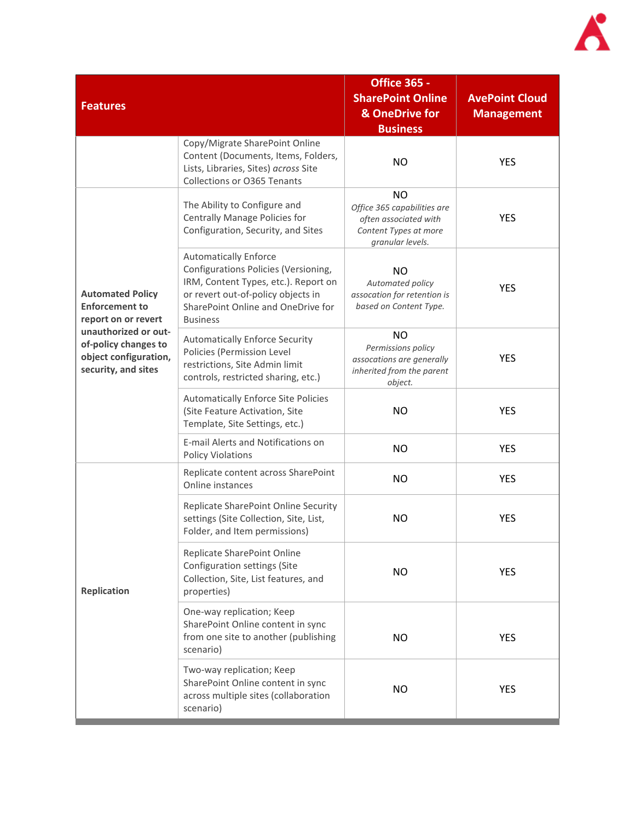

| <b>Features</b>                                                                                                                                                         |                                                                                                                                                                                                             | <b>Office 365 -</b><br><b>SharePoint Online</b><br>& OneDrive for<br><b>Business</b>                           | <b>AvePoint Cloud</b><br><b>Management</b> |
|-------------------------------------------------------------------------------------------------------------------------------------------------------------------------|-------------------------------------------------------------------------------------------------------------------------------------------------------------------------------------------------------------|----------------------------------------------------------------------------------------------------------------|--------------------------------------------|
|                                                                                                                                                                         | Copy/Migrate SharePoint Online<br>Content (Documents, Items, Folders,<br>Lists, Libraries, Sites) across Site<br>Collections or O365 Tenants                                                                | <b>NO</b>                                                                                                      | <b>YES</b>                                 |
| <b>Automated Policy</b><br><b>Enforcement to</b><br>report on or revert<br>unauthorized or out-<br>of-policy changes to<br>object configuration,<br>security, and sites | The Ability to Configure and<br>Centrally Manage Policies for<br>Configuration, Security, and Sites                                                                                                         | <b>NO</b><br>Office 365 capabilities are<br>often associated with<br>Content Types at more<br>granular levels. | <b>YES</b>                                 |
|                                                                                                                                                                         | <b>Automatically Enforce</b><br>Configurations Policies (Versioning,<br>IRM, Content Types, etc.). Report on<br>or revert out-of-policy objects in<br>SharePoint Online and OneDrive for<br><b>Business</b> | <b>NO</b><br>Automated policy<br>assocation for retention is<br>based on Content Type.                         | <b>YES</b>                                 |
|                                                                                                                                                                         | <b>Automatically Enforce Security</b><br>Policies (Permission Level<br>restrictions, Site Admin limit<br>controls, restricted sharing, etc.)                                                                | <b>NO</b><br>Permissions policy<br>assocations are generally<br>inherited from the parent<br>object.           | <b>YES</b>                                 |
|                                                                                                                                                                         | Automatically Enforce Site Policies<br>(Site Feature Activation, Site<br>Template, Site Settings, etc.)                                                                                                     | <b>NO</b>                                                                                                      | <b>YES</b>                                 |
|                                                                                                                                                                         | E-mail Alerts and Notifications on<br><b>Policy Violations</b>                                                                                                                                              | <b>NO</b>                                                                                                      | <b>YES</b>                                 |
|                                                                                                                                                                         | Replicate content across SharePoint<br>Online instances                                                                                                                                                     | <b>NO</b>                                                                                                      | <b>YES</b>                                 |
|                                                                                                                                                                         | Replicate SharePoint Online Security<br>settings (Site Collection, Site, List,<br>Folder, and Item permissions)                                                                                             | <b>NO</b>                                                                                                      | <b>YES</b>                                 |
| <b>Replication</b>                                                                                                                                                      | Replicate SharePoint Online<br>Configuration settings (Site<br>Collection, Site, List features, and<br>properties)                                                                                          | <b>NO</b>                                                                                                      | <b>YES</b>                                 |
|                                                                                                                                                                         | One-way replication; Keep<br>SharePoint Online content in sync<br>from one site to another (publishing<br>scenario)                                                                                         | <b>NO</b>                                                                                                      | <b>YES</b>                                 |
|                                                                                                                                                                         | Two-way replication; Keep<br>SharePoint Online content in sync<br>across multiple sites (collaboration<br>scenario)                                                                                         | <b>NO</b>                                                                                                      | <b>YES</b>                                 |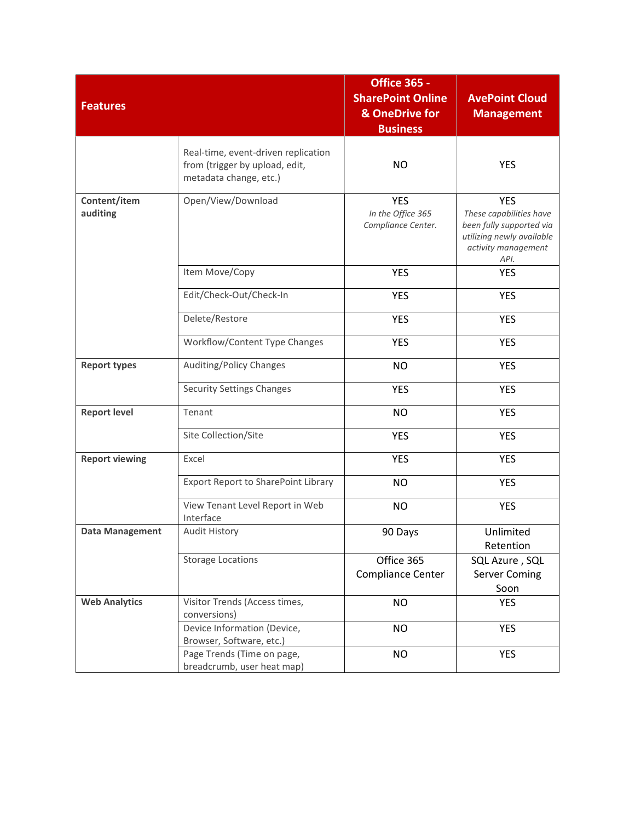| <b>Features</b>          |                                                                                                 | <b>Office 365 -</b><br><b>SharePoint Online</b><br>& OneDrive for<br><b>Business</b> | <b>AvePoint Cloud</b><br><b>Management</b>                                                                                    |
|--------------------------|-------------------------------------------------------------------------------------------------|--------------------------------------------------------------------------------------|-------------------------------------------------------------------------------------------------------------------------------|
|                          | Real-time, event-driven replication<br>from (trigger by upload, edit,<br>metadata change, etc.) | <b>NO</b>                                                                            | <b>YES</b>                                                                                                                    |
| Content/item<br>auditing | Open/View/Download                                                                              | <b>YES</b><br>In the Office 365<br>Compliance Center.                                | <b>YES</b><br>These capabilities have<br>been fully supported via<br>utilizing newly available<br>activity management<br>API. |
|                          | Item Move/Copy                                                                                  | <b>YES</b>                                                                           | <b>YES</b>                                                                                                                    |
|                          | Edit/Check-Out/Check-In                                                                         | <b>YES</b>                                                                           | <b>YES</b>                                                                                                                    |
|                          | Delete/Restore                                                                                  | <b>YES</b>                                                                           | <b>YES</b>                                                                                                                    |
|                          | Workflow/Content Type Changes                                                                   | <b>YES</b>                                                                           | <b>YES</b>                                                                                                                    |
| <b>Report types</b>      | Auditing/Policy Changes                                                                         | <b>NO</b>                                                                            | <b>YES</b>                                                                                                                    |
|                          | <b>Security Settings Changes</b>                                                                | <b>YES</b>                                                                           | <b>YES</b>                                                                                                                    |
| <b>Report level</b>      | Tenant                                                                                          | <b>NO</b>                                                                            | <b>YES</b>                                                                                                                    |
|                          | Site Collection/Site                                                                            | <b>YES</b>                                                                           | <b>YES</b>                                                                                                                    |
| <b>Report viewing</b>    | Excel                                                                                           | <b>YES</b>                                                                           | <b>YES</b>                                                                                                                    |
|                          | <b>Export Report to SharePoint Library</b>                                                      | <b>NO</b>                                                                            | <b>YES</b>                                                                                                                    |
|                          | View Tenant Level Report in Web<br>Interface                                                    | <b>NO</b>                                                                            | <b>YES</b>                                                                                                                    |
| <b>Data Management</b>   | Audit History                                                                                   | 90 Days                                                                              | Unlimited<br>Retention                                                                                                        |
|                          | <b>Storage Locations</b>                                                                        | Office 365<br>Compliance Center                                                      | SQL Azure, SQL<br><b>Server Coming</b><br>Soon                                                                                |
| <b>Web Analytics</b>     | Visitor Trends (Access times,<br>conversions)                                                   | <b>NO</b>                                                                            | <b>YES</b>                                                                                                                    |
|                          | Device Information (Device,<br>Browser, Software, etc.)                                         | <b>NO</b>                                                                            | <b>YES</b>                                                                                                                    |
|                          | Page Trends (Time on page,<br>breadcrumb, user heat map)                                        | <b>NO</b>                                                                            | <b>YES</b>                                                                                                                    |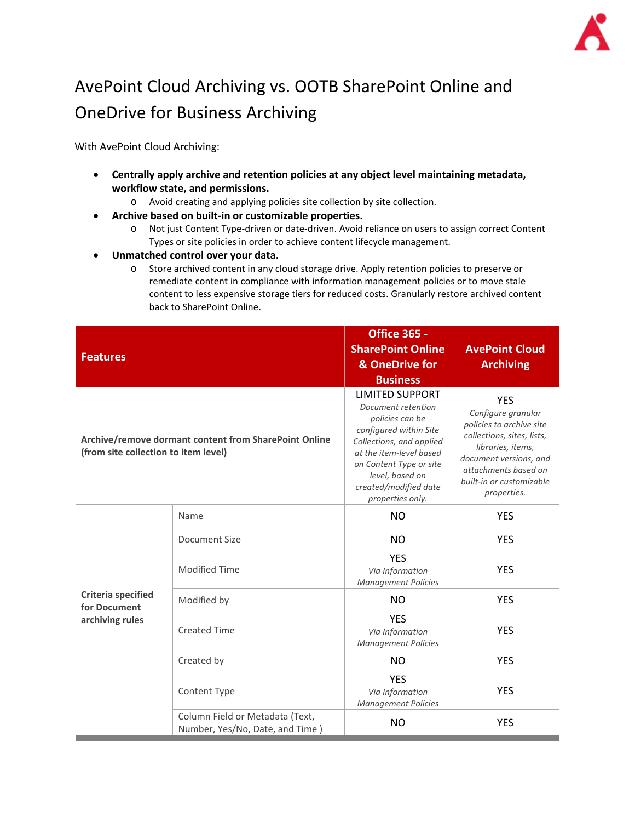

# AvePoint Cloud Archiving vs. OOTB SharePoint Online and OneDrive for Business Archiving

With AvePoint Cloud Archiving:

- **Centrally apply archive and retention policies at any object level maintaining metadata, workflow state, and permissions.** 
	- o Avoid creating and applying policies site collection by site collection.
- **Archive based on built-in or customizable properties.**
	- o Not just Content Type-driven or date-driven. Avoid reliance on users to assign correct Content Types or site policies in order to achieve content lifecycle management.
- **Unmatched control over your data.** 
	- o Store archived content in any cloud storage drive. Apply retention policies to preserve or remediate content in compliance with information management policies or to move stale content to less expensive storage tiers for reduced costs. Granularly restore archived content back to SharePoint Online.

| <b>Features</b>                                              |                                                                    | <b>Office 365 -</b><br><b>SharePoint Online</b><br>& OneDrive for<br><b>Business</b>                                                                                                                                                        | <b>AvePoint Cloud</b><br><b>Archiving</b>                                                                                                                                                                    |
|--------------------------------------------------------------|--------------------------------------------------------------------|---------------------------------------------------------------------------------------------------------------------------------------------------------------------------------------------------------------------------------------------|--------------------------------------------------------------------------------------------------------------------------------------------------------------------------------------------------------------|
| (from site collection to item level)                         | Archive/remove dormant content from SharePoint Online              | <b>LIMITED SUPPORT</b><br>Document retention<br>policies can be<br>configured within Site<br>Collections, and applied<br>at the item-level based<br>on Content Type or site<br>level, based on<br>created/modified date<br>properties only. | <b>YES</b><br>Configure granular<br>policies to archive site<br>collections, sites, lists,<br>libraries, items,<br>document versions, and<br>attachments based on<br>built-in or customizable<br>properties. |
|                                                              | Name                                                               | <b>NO</b>                                                                                                                                                                                                                                   | <b>YES</b>                                                                                                                                                                                                   |
|                                                              | Document Size                                                      | <b>NO</b>                                                                                                                                                                                                                                   | <b>YES</b>                                                                                                                                                                                                   |
| <b>Criteria specified</b><br>for Document<br>archiving rules | <b>Modified Time</b>                                               | <b>YES</b><br>Via Information<br><b>Management Policies</b>                                                                                                                                                                                 | <b>YES</b>                                                                                                                                                                                                   |
|                                                              | Modified by                                                        | <b>NO</b>                                                                                                                                                                                                                                   | <b>YES</b>                                                                                                                                                                                                   |
|                                                              | <b>Created Time</b>                                                | <b>YES</b><br>Via Information<br><b>Management Policies</b>                                                                                                                                                                                 | <b>YES</b>                                                                                                                                                                                                   |
|                                                              | Created by                                                         | <b>NO</b>                                                                                                                                                                                                                                   | <b>YES</b>                                                                                                                                                                                                   |
|                                                              | Content Type                                                       | <b>YES</b><br>Via Information<br><b>Management Policies</b>                                                                                                                                                                                 | <b>YES</b>                                                                                                                                                                                                   |
|                                                              | Column Field or Metadata (Text,<br>Number, Yes/No, Date, and Time) | <b>NO</b>                                                                                                                                                                                                                                   | <b>YES</b>                                                                                                                                                                                                   |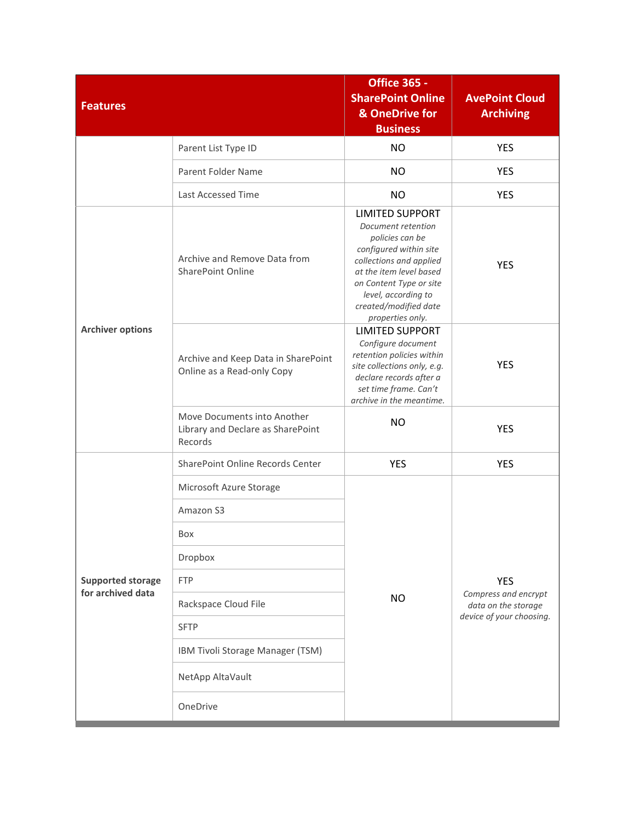| <b>Features</b>          |                                                                             | <b>Office 365 -</b><br><b>SharePoint Online</b><br>& OneDrive for<br><b>Business</b>                                                                                                                                                           | <b>AvePoint Cloud</b><br><b>Archiving</b>                                             |
|--------------------------|-----------------------------------------------------------------------------|------------------------------------------------------------------------------------------------------------------------------------------------------------------------------------------------------------------------------------------------|---------------------------------------------------------------------------------------|
|                          | Parent List Type ID                                                         | <b>NO</b>                                                                                                                                                                                                                                      | <b>YES</b>                                                                            |
|                          | Parent Folder Name                                                          | <b>NO</b>                                                                                                                                                                                                                                      | <b>YES</b>                                                                            |
|                          | Last Accessed Time                                                          | <b>NO</b>                                                                                                                                                                                                                                      | <b>YES</b>                                                                            |
| <b>Archiver options</b>  | Archive and Remove Data from<br><b>SharePoint Online</b>                    | <b>LIMITED SUPPORT</b><br>Document retention<br>policies can be<br>configured within site<br>collections and applied<br>at the item level based<br>on Content Type or site<br>level, according to<br>created/modified date<br>properties only. | <b>YES</b>                                                                            |
|                          | Archive and Keep Data in SharePoint<br>Online as a Read-only Copy           | <b>LIMITED SUPPORT</b><br>Configure document<br>retention policies within<br>site collections only, e.g.<br>declare records after a<br>set time frame. Can't<br>archive in the meantime.                                                       | <b>YES</b>                                                                            |
|                          | Move Documents into Another<br>Library and Declare as SharePoint<br>Records | <b>NO</b>                                                                                                                                                                                                                                      | <b>YES</b>                                                                            |
|                          | SharePoint Online Records Center                                            | <b>YES</b>                                                                                                                                                                                                                                     | <b>YES</b>                                                                            |
|                          | Microsoft Azure Storage                                                     |                                                                                                                                                                                                                                                | <b>YES</b><br>Compress and encrypt<br>data on the storage<br>device of your choosing. |
|                          | Amazon S3                                                                   |                                                                                                                                                                                                                                                |                                                                                       |
|                          | Box                                                                         |                                                                                                                                                                                                                                                |                                                                                       |
|                          | Dropbox                                                                     |                                                                                                                                                                                                                                                |                                                                                       |
| <b>Supported storage</b> | <b>FTP</b>                                                                  |                                                                                                                                                                                                                                                |                                                                                       |
| for archived data        | Rackspace Cloud File                                                        | <b>NO</b>                                                                                                                                                                                                                                      |                                                                                       |
|                          | <b>SFTP</b>                                                                 |                                                                                                                                                                                                                                                |                                                                                       |
|                          | IBM Tivoli Storage Manager (TSM)                                            |                                                                                                                                                                                                                                                |                                                                                       |
|                          | NetApp AltaVault                                                            |                                                                                                                                                                                                                                                |                                                                                       |
|                          | OneDrive                                                                    |                                                                                                                                                                                                                                                |                                                                                       |